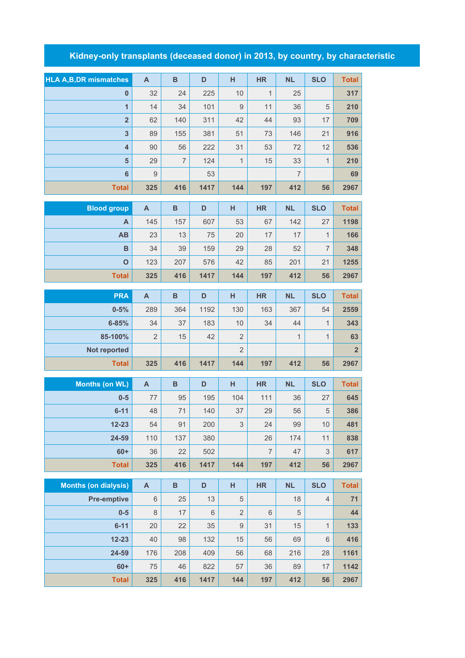## **Kidney-only transplants (deceased donor) in 2013, by country, by characteristic**

| <b>HLA A, B, DR mismatches</b> | $\overline{A}$ | $\, {\bf B}$   | D    | H              | <b>HR</b>      | <b>NL</b>      | <b>SLO</b>     | <b>Total</b>   |
|--------------------------------|----------------|----------------|------|----------------|----------------|----------------|----------------|----------------|
| $\mathbf{0}$                   | 32             | 24             | 225  | 10             | $\mathbf{1}$   | 25             |                | 317            |
| $\overline{1}$                 | 14             | 34             | 101  | 9              | 11             | 36             | 5              | 210            |
| $\overline{\mathbf{2}}$        | 62             | 140            | 311  | 42             | 44             | 93             | 17             | 709            |
| $\overline{\mathbf{3}}$        | 89             | 155            | 381  | 51             | 73             | 146            | 21             | 916            |
| $\overline{\mathbf{4}}$        | 90             | 56             | 222  | 31             | 53             | 72             | 12             | 536            |
| 5                              | 29             | $\overline{7}$ | 124  | 1              | 15             | 33             | $\mathbf{1}$   | 210            |
| $6\phantom{1}6$                | $\overline{9}$ |                | 53   |                |                | $\overline{7}$ |                | 69             |
| <b>Total</b>                   | 325            | 416            | 1417 | 144            | 197            | 412            | 56             | 2967           |
| <b>Blood group</b>             | $\mathsf{A}$   | $\, {\bf B}$   | D    | H              | <b>HR</b>      | <b>NL</b>      | <b>SLO</b>     | <b>Total</b>   |
| A                              | 145            | 157            | 607  | 53             | 67             | 142            | 27             | 1198           |
| AB                             | 23             | 13             | 75   | 20             | 17             | 17             | $\mathbf{1}$   | 166            |
| $\mathbf B$                    | 34             | 39             | 159  | 29             | 28             | 52             | $\overline{7}$ | 348            |
| $\mathbf{o}$                   | 123            | 207            | 576  | 42             | 85             | 201            | 21             | 1255           |
| <b>Total</b>                   | 325            | 416            | 1417 | 144            | 197            | 412            | 56             | 2967           |
| <b>PRA</b>                     | $\overline{A}$ | $\mathbf B$    | D    | H              | <b>HR</b>      | <b>NL</b>      | <b>SLO</b>     | <b>Total</b>   |
| $0 - 5%$                       | 289            | 364            | 1192 | 130            | 163            | 367            | 54             | 2559           |
| $6 - 85%$                      | 34             | 37             | 183  | 10             | 34             | 44             | $\mathbf{1}$   | 343            |
| 85-100%                        | $\overline{2}$ | 15             | 42   | $\overline{2}$ |                | $\mathbf{1}$   | $\mathbf{1}$   | 63             |
| Not reported                   |                |                |      | $\overline{2}$ |                |                |                | $\overline{2}$ |
| <b>Total</b>                   | 325            | 416            | 1417 | 144            | 197            | 412            | 56             | 2967           |
|                                |                |                |      |                |                |                |                |                |
| <b>Months (on WL)</b>          | $\mathsf{A}$   | $\, {\bf B}$   | D    | н              | <b>HR</b>      | <b>NL</b>      | <b>SLO</b>     | <b>Total</b>   |
| $0-5$                          | 77             | 95             | 195  | 104            | 111            | 36             | 27             | 645            |
| $6 - 11$                       | 48             | 71             | 140  | 37             | 29             | 56             | 5              | 386            |
| $12 - 23$                      | 54             | 91             | 200  | 3              | 24             | 99             | $10$           | 481            |
| 24-59                          | 110            | 137            | 380  |                | 26             | 174            | 11             | 838            |
| $60+$                          | 36             | 22             | 502  |                | $\overline{7}$ | 47             | 3              | 617            |
| <b>Total</b>                   | 325            | 416            | 1417 | 144            | 197            | 412            | 56             | 2967           |
| <b>Months (on dialysis)</b>    | $\mathsf{A}$   | $\, {\bf B}$   | D    | H              | <b>HR</b>      | <b>NL</b>      | <b>SLO</b>     | <b>Total</b>   |
| <b>Pre-emptive</b>             | $\,6$          | 25             | 13   | 5              |                | 18             | 4              | 71             |
| $0-5$                          | $\,8\,$        | 17             | 6    | $\overline{2}$ | 6              | 5              |                | 44             |
| $6 - 11$                       | 20             | 22             | 35   | $\mathsf{9}$   | 31             | 15             | $\mathbf{1}$   | 133            |
| $12 - 23$                      | 40             | 98             | 132  | 15             | 56             | 69             | 6              | 416            |
| 24-59                          | 176            | 208            | 409  | 56             | 68             | 216            | 28             | 1161           |

**60+** 75 46 822 57 36 89 17 **1142 Total 325 416 1417 144 197 412 56 2967**